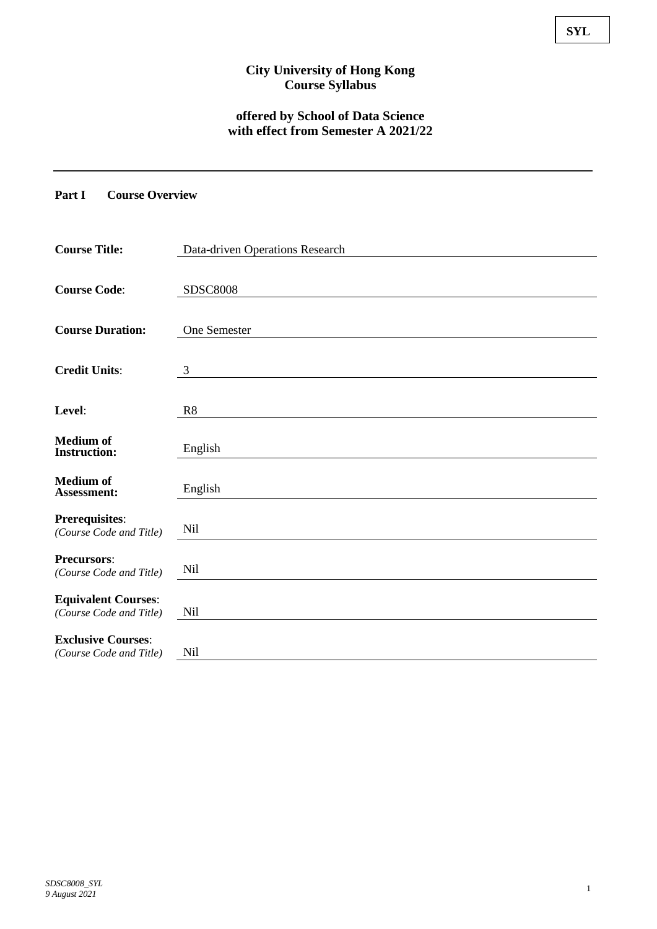# **City University of Hong Kong Course Syllabus**

# **offered by School of Data Science with effect from Semester A 2021/22**

#### **Part I Course Overview**

| <b>Course Title:</b>                    | Data-driven Operations Research |
|-----------------------------------------|---------------------------------|
|                                         |                                 |
| <b>Course Code:</b>                     | <b>SDSC8008</b>                 |
|                                         |                                 |
| <b>Course Duration:</b>                 | One Semester                    |
|                                         |                                 |
| <b>Credit Units:</b>                    | 3                               |
|                                         |                                 |
| Level:                                  | R <sub>8</sub>                  |
|                                         |                                 |
| <b>Medium of</b><br><b>Instruction:</b> | English                         |
|                                         |                                 |
| <b>Medium</b> of                        | English                         |
| <b>Assessment:</b>                      |                                 |
| <b>Prerequisites:</b>                   | Nil                             |
| (Course Code and Title)                 |                                 |
| <b>Precursors:</b>                      |                                 |
| (Course Code and Title)                 | <b>Nil</b>                      |
| <b>Equivalent Courses:</b>              |                                 |
| (Course Code and Title)                 | Nil                             |
| <b>Exclusive Courses:</b>               |                                 |
| (Course Code and Title)                 | <b>Nil</b>                      |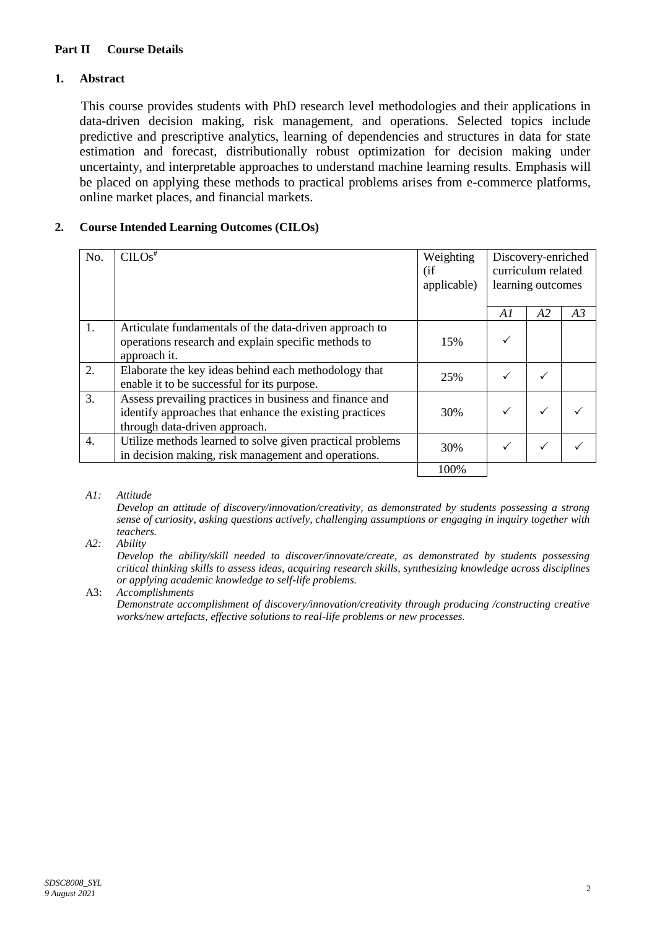### **Part II Course Details**

### **1. Abstract**

This course provides students with PhD research level methodologies and their applications in data-driven decision making, risk management, and operations. Selected topics include predictive and prescriptive analytics, learning of dependencies and structures in data for state estimation and forecast, distributionally robust optimization for decision making under uncertainty, and interpretable approaches to understand machine learning results. Emphasis will be placed on applying these methods to practical problems arises from e-commerce platforms, online market places, and financial markets.

# **2. Course Intended Learning Outcomes (CILOs)**

| No. | CILOS <sup>#</sup>                                                                                                                                  | Weighting<br>(i f)<br>applicable) | Discovery-enriched<br>curriculum related<br>learning outcomes |    |    |
|-----|-----------------------------------------------------------------------------------------------------------------------------------------------------|-----------------------------------|---------------------------------------------------------------|----|----|
|     |                                                                                                                                                     |                                   | A1                                                            | A2 | A3 |
| 1.  | Articulate fundamentals of the data-driven approach to<br>operations research and explain specific methods to<br>approach it.                       | 15%                               |                                                               |    |    |
| 2.  | Elaborate the key ideas behind each methodology that<br>enable it to be successful for its purpose.                                                 | 25%                               |                                                               |    |    |
| 3.  | Assess prevailing practices in business and finance and<br>identify approaches that enhance the existing practices<br>through data-driven approach. | 30%                               |                                                               |    |    |
| 4.  | Utilize methods learned to solve given practical problems<br>in decision making, risk management and operations.                                    | 30%                               |                                                               |    |    |
|     |                                                                                                                                                     | 100%                              |                                                               |    |    |

*A1: Attitude* 

*Develop an attitude of discovery/innovation/creativity, as demonstrated by students possessing a strong sense of curiosity, asking questions actively, challenging assumptions or engaging in inquiry together with teachers.*

*A2: Ability*

*Develop the ability/skill needed to discover/innovate/create, as demonstrated by students possessing critical thinking skills to assess ideas, acquiring research skills, synthesizing knowledge across disciplines or applying academic knowledge to self-life problems.*

A3: *Accomplishments*

*Demonstrate accomplishment of discovery/innovation/creativity through producing /constructing creative works/new artefacts, effective solutions to real-life problems or new processes.*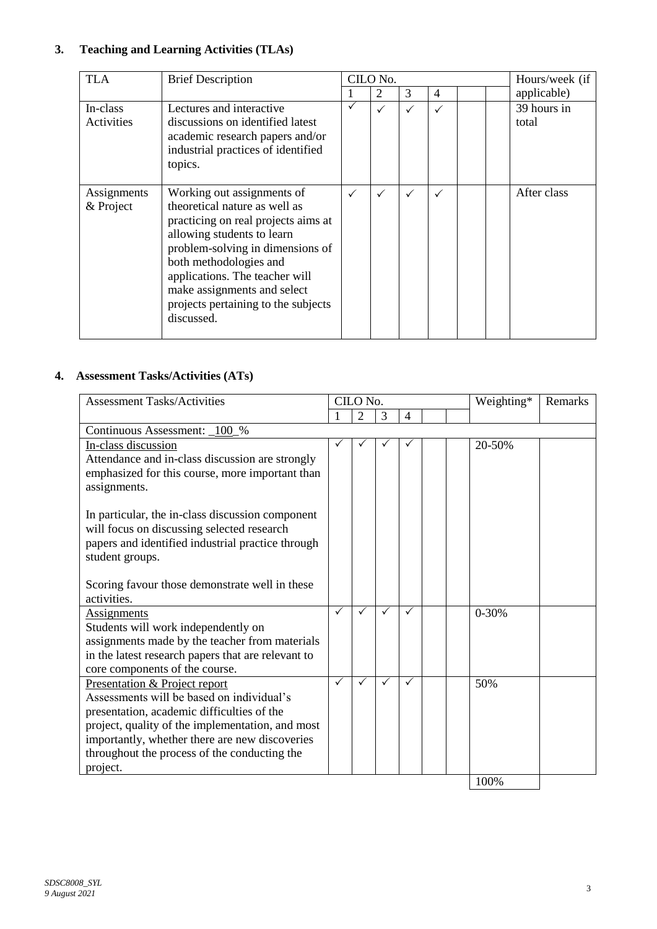# **3. Teaching and Learning Activities (TLAs)**

| <b>TLA</b>               | <b>Brief Description</b>                                                                                                                                                                                                                                                                                             | CILO No.     |              |              |              | Hours/week (if |                      |
|--------------------------|----------------------------------------------------------------------------------------------------------------------------------------------------------------------------------------------------------------------------------------------------------------------------------------------------------------------|--------------|--------------|--------------|--------------|----------------|----------------------|
|                          |                                                                                                                                                                                                                                                                                                                      |              | 2            | 3            | 4            |                | applicable)          |
| In-class<br>Activities   | Lectures and interactive<br>discussions on identified latest<br>academic research papers and/or<br>industrial practices of identified<br>topics.                                                                                                                                                                     |              | $\checkmark$ | $\checkmark$ |              |                | 39 hours in<br>total |
| Assignments<br>& Project | Working out assignments of<br>theoretical nature as well as<br>practicing on real projects aims at<br>allowing students to learn<br>problem-solving in dimensions of<br>both methodologies and<br>applications. The teacher will<br>make assignments and select<br>projects pertaining to the subjects<br>discussed. | $\checkmark$ | $\checkmark$ | $\checkmark$ | $\checkmark$ |                | After class          |

# **4. Assessment Tasks/Activities (ATs)**

| <b>Assessment Tasks/Activities</b><br>CILO No.                                                     |              |                |              |                | Weighting* | Remarks   |  |
|----------------------------------------------------------------------------------------------------|--------------|----------------|--------------|----------------|------------|-----------|--|
|                                                                                                    |              | $\overline{2}$ | 3            | $\overline{4}$ |            |           |  |
| Continuous Assessment: _100_%                                                                      |              |                |              |                |            |           |  |
| In-class discussion                                                                                |              |                |              |                |            | 20-50%    |  |
| Attendance and in-class discussion are strongly<br>emphasized for this course, more important than |              |                |              |                |            |           |  |
| assignments.                                                                                       |              |                |              |                |            |           |  |
| In particular, the in-class discussion component                                                   |              |                |              |                |            |           |  |
| will focus on discussing selected research                                                         |              |                |              |                |            |           |  |
| papers and identified industrial practice through                                                  |              |                |              |                |            |           |  |
| student groups.                                                                                    |              |                |              |                |            |           |  |
| Scoring favour those demonstrate well in these                                                     |              |                |              |                |            |           |  |
| activities.                                                                                        |              |                |              |                |            |           |  |
| <b>Assignments</b>                                                                                 | $\checkmark$ | $\checkmark$   | $\checkmark$ | $\checkmark$   |            | $0 - 30%$ |  |
| Students will work independently on                                                                |              |                |              |                |            |           |  |
| assignments made by the teacher from materials                                                     |              |                |              |                |            |           |  |
| in the latest research papers that are relevant to                                                 |              |                |              |                |            |           |  |
| core components of the course.                                                                     |              |                |              |                |            |           |  |
| Presentation & Project report                                                                      | $\checkmark$ | ✓              | $\checkmark$ | $\checkmark$   |            | 50%       |  |
| Assessments will be based on individual's                                                          |              |                |              |                |            |           |  |
| presentation, academic difficulties of the                                                         |              |                |              |                |            |           |  |
| project, quality of the implementation, and most                                                   |              |                |              |                |            |           |  |
| importantly, whether there are new discoveries                                                     |              |                |              |                |            |           |  |
| throughout the process of the conducting the                                                       |              |                |              |                |            |           |  |
| project.                                                                                           |              |                |              |                |            | 1000      |  |

100%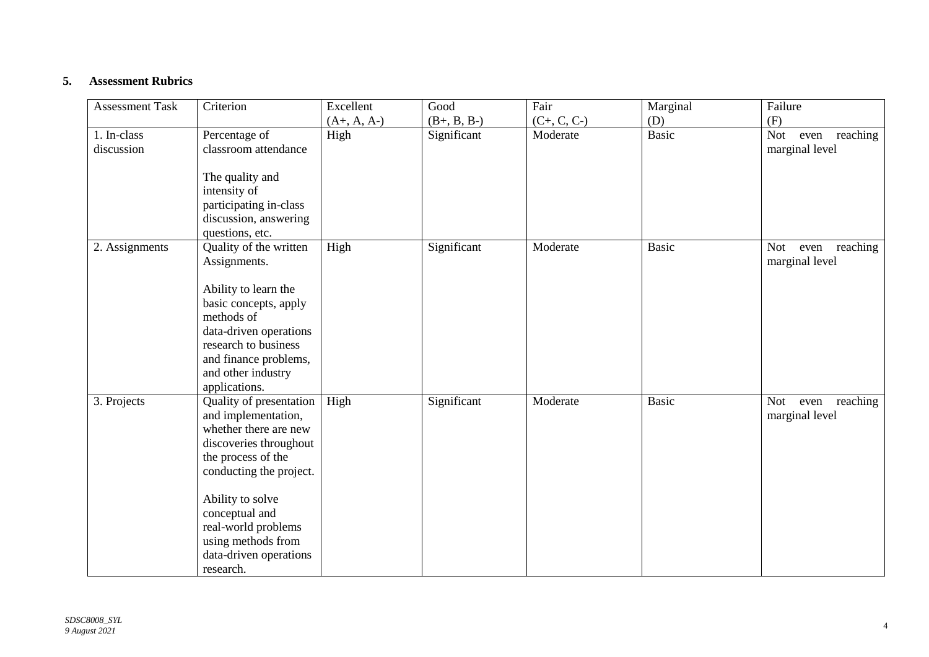## **5. Assessment Rubrics**

| <b>Assessment Task</b> | Criterion                                                                                                                                                                                     | Excellent     | Good          | Fair          | Marginal     | Failure                                |
|------------------------|-----------------------------------------------------------------------------------------------------------------------------------------------------------------------------------------------|---------------|---------------|---------------|--------------|----------------------------------------|
|                        |                                                                                                                                                                                               | $(A+, A, A-)$ | $(B+, B, B-)$ | $(C+, C, C-)$ | (D)          | (F)                                    |
| 1. In-class            | Percentage of                                                                                                                                                                                 | High          | Significant   | Moderate      | <b>Basic</b> | even reaching<br>Not                   |
| discussion             | classroom attendance                                                                                                                                                                          |               |               |               |              | marginal level                         |
|                        | The quality and<br>intensity of<br>participating in-class<br>discussion, answering<br>questions, etc.                                                                                         |               |               |               |              |                                        |
| 2. Assignments         | Quality of the written                                                                                                                                                                        | High          | Significant   | Moderate      | <b>Basic</b> | even reaching<br>Not<br>marginal level |
|                        | Assignments.<br>Ability to learn the<br>basic concepts, apply<br>methods of<br>data-driven operations<br>research to business<br>and finance problems,<br>and other industry<br>applications. |               |               |               |              |                                        |
| 3. Projects            | Quality of presentation<br>and implementation,<br>whether there are new<br>discoveries throughout<br>the process of the<br>conducting the project.                                            | High          | Significant   | Moderate      | <b>Basic</b> | even reaching<br>Not<br>marginal level |
|                        | Ability to solve<br>conceptual and<br>real-world problems<br>using methods from<br>data-driven operations<br>research.                                                                        |               |               |               |              |                                        |